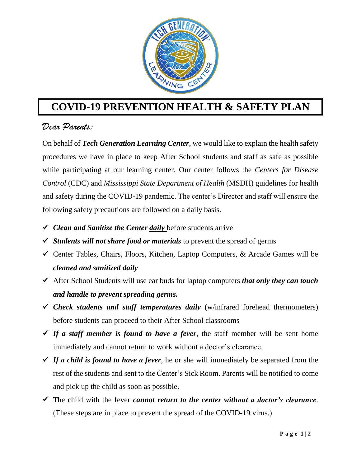

## **COVID-19 PREVENTION HEALTH & SAFETY PLAN**

## *Dear Parents:*

On behalf of *Tech Generation Learning Center*, we would like to explain the health safety procedures we have in place to keep After School students and staff as safe as possible while participating at our learning center. Our center follows the *Centers for Disease Control* (CDC) and *Mississippi State Department of Health* (MSDH) guidelines for health and safety during the COVID-19 pandemic. The center's Director and staff will ensure the following safety precautions are followed on a daily basis.

- *Clean and Sanitize the Center daily* before students arrive
- *Students will not share food or materials* to prevent the spread of germs
- Center Tables, Chairs, Floors, Kitchen, Laptop Computers, & Arcade Games will be *cleaned and sanitized daily*
- After School Students will use ear buds for laptop computers *that only they can touch and handle to prevent spreading germs.*
- *Check students and staff temperatures daily* (w/infrared forehead thermometers) before students can proceed to their After School classrooms
- $\checkmark$  If a staff member is found to have a fever, the staff member will be sent home immediately and cannot return to work without a doctor's clearance.
- *If a child is found to have a fever*, he or she will immediately be separated from the rest of the students and sent to the Center's Sick Room. Parents will be notified to come and pick up the child as soon as possible.
- The child with the fever *cannot return to the center without a doctor's clearance*. (These steps are in place to prevent the spread of the COVID-19 virus.)